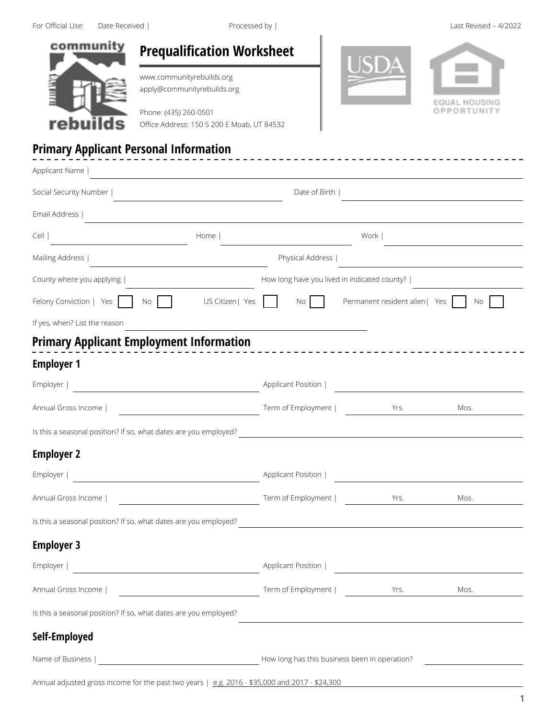| community                                     | <b>Prequalification Worksheet</b><br>www.communityrebuilds.org<br>apply@communityrebuilds.org |                    |                                                                                                                        |                                                                                                                       |
|-----------------------------------------------|-----------------------------------------------------------------------------------------------|--------------------|------------------------------------------------------------------------------------------------------------------------|-----------------------------------------------------------------------------------------------------------------------|
| N HITA                                        |                                                                                               |                    |                                                                                                                        |                                                                                                                       |
| rebuilds                                      | Phone: (435) 260-0501<br>Office Address: 150 S 200 E Moab, UT 84532                           |                    |                                                                                                                        | QUAL                                                                                                                  |
| <b>Primary Applicant Personal Information</b> |                                                                                               |                    |                                                                                                                        |                                                                                                                       |
| Applicant Name                                | <u> 1989 - Andrea Station Barbara (b. 1989)</u>                                               |                    |                                                                                                                        |                                                                                                                       |
| Social Security Number                        | <u> 1989 - Johann Barbara, martxa eta idazlea (h. 1989).</u>                                  | Date of Birth      |                                                                                                                        |                                                                                                                       |
| Email Address                                 |                                                                                               |                    |                                                                                                                        |                                                                                                                       |
| Cell                                          | Home                                                                                          |                    | Work                                                                                                                   |                                                                                                                       |
| Mailing Address                               |                                                                                               | Physical Address   |                                                                                                                        | <u> 1989 - Johann Barn, mars ann an t-Amhain an t-Amhain an t-Amhain an t-Amhain an t-Amhain an t-Amhain an t-Amh</u> |
| County where you applying                     |                                                                                               |                    | How long have you lived in indicated county?                                                                           |                                                                                                                       |
| Felony Conviction   Yes                       | US Citizen   Yes<br>No                                                                        | No                 | Permanent resident alien   Yes                                                                                         | No                                                                                                                    |
| If yes, when? List the reason                 |                                                                                               |                    |                                                                                                                        |                                                                                                                       |
|                                               | <b>Primary Applicant Employment Information</b>                                               |                    |                                                                                                                        |                                                                                                                       |
| <b>Employer 1</b>                             |                                                                                               |                    |                                                                                                                        |                                                                                                                       |
| Employer                                      | <u> 1980 - Johann Barbara, martxa</u>                                                         | Applicant Position |                                                                                                                        |                                                                                                                       |
| Annual Gross Income                           |                                                                                               | Term of Employment | Yrs.                                                                                                                   | Mos.                                                                                                                  |
|                                               | Is this a seasonal position? If so, what dates are you employed?                              |                    |                                                                                                                        |                                                                                                                       |
| <b>Employer 2</b>                             |                                                                                               |                    |                                                                                                                        |                                                                                                                       |
| Employer                                      |                                                                                               | Applicant Position |                                                                                                                        |                                                                                                                       |
| Annual Gross Income                           |                                                                                               | Term of Employment | Yrs.                                                                                                                   | Mos.                                                                                                                  |
|                                               | Is this a seasonal position? If so, what dates are you employed?                              |                    | <u> 1989 - Johann Stoff, deutscher Stoffen und der Stoffen und der Stoffen und der Stoffen und der Stoffen und der</u> |                                                                                                                       |
| <b>Employer 3</b>                             |                                                                                               |                    |                                                                                                                        |                                                                                                                       |
| Employer                                      |                                                                                               | Applicant Position | <u> 1980 - Andrea Station Barbara (b. 1980)</u>                                                                        |                                                                                                                       |
| Annual Gross Income                           |                                                                                               |                    | Term of Employment   Yrs.                                                                                              | Mos.                                                                                                                  |
|                                               | Is this a seasonal position? If so, what dates are you employed?                              |                    |                                                                                                                        |                                                                                                                       |
| Self-Employed                                 |                                                                                               |                    |                                                                                                                        |                                                                                                                       |
|                                               |                                                                                               |                    |                                                                                                                        | <u> 1989 - Andrea State Barbara, pre</u>                                                                              |

Annual adjusted gross income for the past two years | e.g. 2016 - \$35,000 and 2017 - \$24,300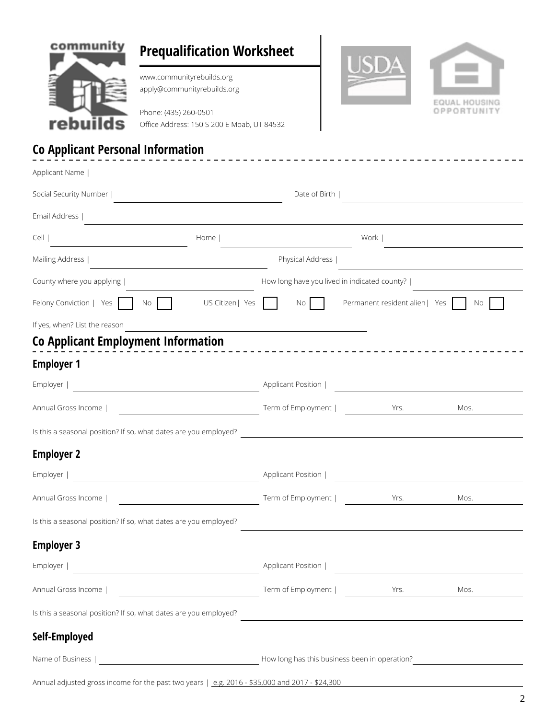

# **Prequalification Worksheet**

www.communityrebuilds.org apply@communityrebuilds.org

Phone: (435) 260-0501 Office Address: 150 S 200 E Moab, UT 84532

### **Co Applicant Personal Information**

| Applicant Name                                                          |                                                                 |                                              |                                                                                                                        |      |
|-------------------------------------------------------------------------|-----------------------------------------------------------------|----------------------------------------------|------------------------------------------------------------------------------------------------------------------------|------|
| Social Security Number                                                  | Date of Birth  <br><u> 1989 - Andrea Andrew Maria (b. 1989)</u> |                                              |                                                                                                                        |      |
| Email Address                                                           |                                                                 |                                              |                                                                                                                        |      |
| Cell                                                                    | Home                                                            |                                              | Work                                                                                                                   |      |
| Mailing Address  <br><u> 1989 - Johann Barn, amerikansk politiker (</u> |                                                                 | Physical Address                             |                                                                                                                        |      |
| County where you applying                                               |                                                                 | How long have you lived in indicated county? |                                                                                                                        |      |
| Felony Conviction   Yes   No                                            | US Citizen   Yes                                                | No                                           | Permanent resident alien   Yes                                                                                         | No   |
| If yes, when? List the reason                                           |                                                                 |                                              |                                                                                                                        |      |
| Co Applicant Employment Information                                     |                                                                 |                                              |                                                                                                                        |      |
| <b>Employer 1</b>                                                       |                                                                 |                                              |                                                                                                                        |      |
| Employer  <br><u> 1989 - Johann Barbara, martxa alemaniar a</u>         |                                                                 | Applicant Position                           |                                                                                                                        |      |
| Annual Gross Income                                                     |                                                                 | Term of Employment                           | Yrs.                                                                                                                   | Mos. |
| Is this a seasonal position? If so, what dates are you employed?        |                                                                 |                                              | <u> 1980 - Johann Barn, mars ann an t-Amhain Aonaich an t-Aonaich an t-Aonaich an t-Aonaich an t-Aonaich ann an t-</u> |      |
| <b>Employer 2</b>                                                       |                                                                 |                                              |                                                                                                                        |      |
| Employer  <br><u> 1980 - Johann Barn, mars eta bainar e</u>             |                                                                 | Applicant Position                           |                                                                                                                        |      |
| Annual Gross Income                                                     |                                                                 | Term of Employment                           | <b>Example 18</b> Yrs.                                                                                                 | Mos. |
| Is this a seasonal position? If so, what dates are you employed?        |                                                                 |                                              |                                                                                                                        |      |
| <b>Employer 3</b>                                                       |                                                                 |                                              |                                                                                                                        |      |
| Employer                                                                |                                                                 | Applicant Position                           |                                                                                                                        |      |
| Annual Gross Income                                                     |                                                                 | Term of Employment                           | <b>Example 18</b> Yrs.                                                                                                 | Mos. |
| Is this a seasonal position? If so, what dates are you employed?        |                                                                 |                                              |                                                                                                                        |      |
| Self-Employed                                                           |                                                                 |                                              |                                                                                                                        |      |
|                                                                         |                                                                 |                                              |                                                                                                                        |      |
|                                                                         |                                                                 |                                              |                                                                                                                        |      |

 $- - - - - - -$ 

Annual adjusted gross income for the past two years | e.g. 2016 - \$35,000 and 2017 - \$24,300

EQUAL HOUSING OPPORTUNITY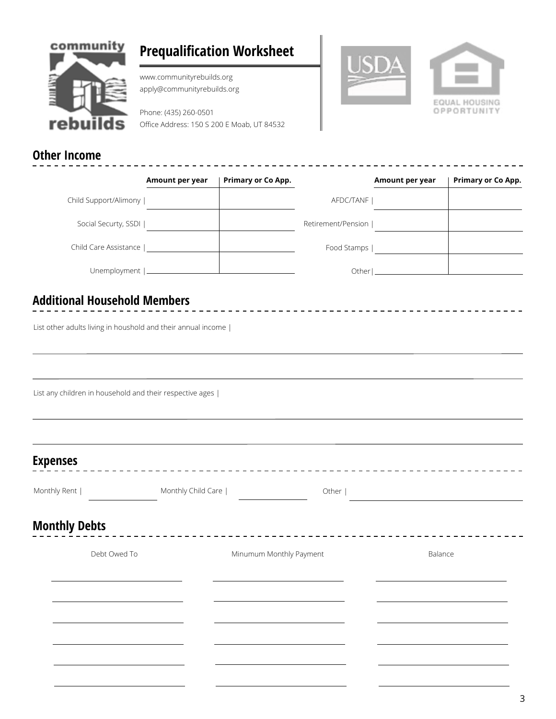

## **Prequalification Worksheet**

www.communityrebuilds.org apply@communityrebuilds.org

Phone: (435) 260-0501 Office Address: 150 S 200 E Moab, UT 84532



<u>\_\_\_\_\_\_\_\_\_\_\_\_\_\_\_\_\_\_\_\_\_</u>

-----------



 $- - - - -$ 

#### **Other Income**

|                       | Amount per year | Primary or Co App. |                    | Amount per year                                                                                                | <b>Primary or Co App.</b> |
|-----------------------|-----------------|--------------------|--------------------|----------------------------------------------------------------------------------------------------------------|---------------------------|
| Child Support/Alimony |                 |                    | AFDC/TANF          |                                                                                                                |                           |
| Social Securty, SSDI  |                 |                    | Retirement/Pension |                                                                                                                |                           |
| Child Care Assistance |                 |                    | Food Stamps        |                                                                                                                |                           |
|                       |                 |                    |                    | Other   The Contract of the Contract of the Contract of the Contract of the Contract of the Contract of the Co |                           |

### **Additional Household Members**

List other adults living in houshold and their annual income |

List any children in household and their respective ages |

### **Expenses**

| Other                   |                    |
|-------------------------|--------------------|
|                         |                    |
| Minumum Monthly Payment | Balance            |
|                         |                    |
|                         |                    |
|                         |                    |
|                         | Monthly Child Care |